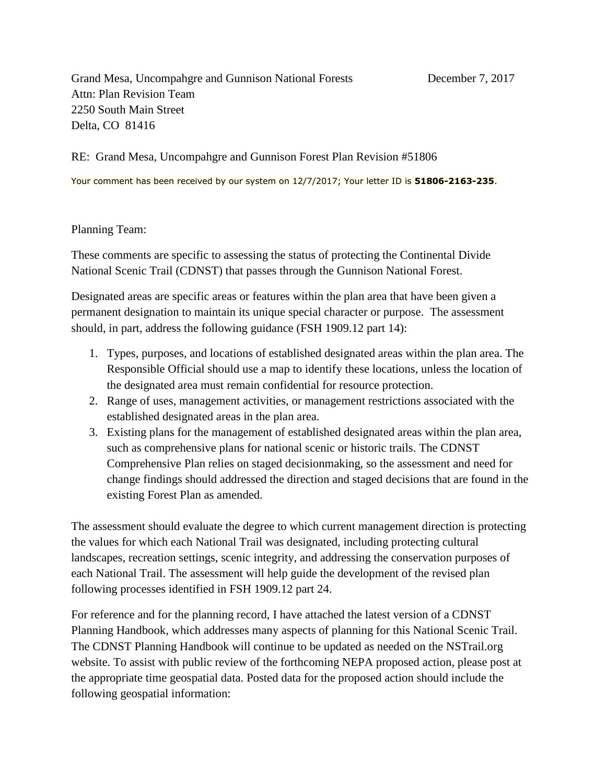Grand Mesa, Uncompahgre and Gunnison National Forests December 7, 2017 Attn: Plan Revision Team 2250 South Main Street Delta, CO 81416

RE: Grand Mesa, Uncompahgre and Gunnison Forest Plan Revision #51806 Your comment has been received by our system on 12/7/2017; Your letter ID is **51806-2163-235**.

Planning Team:

These comments are specific to assessing the status of protecting the Continental Divide National Scenic Trail (CDNST) that passes through the Gunnison National Forest.

Designated areas are specific areas or features within the plan area that have been given a permanent designation to maintain its unique special character or purpose. The assessment should, in part, address the following guidance (FSH 1909.12 part 14):

- 1. Types, purposes, and locations of established designated areas within the plan area. The Responsible Official should use a map to identify these locations, unless the location of the designated area must remain confidential for resource protection.
- 2. Range of uses, management activities, or management restrictions associated with the established designated areas in the plan area.
- 3. Existing plans for the management of established designated areas within the plan area, such as comprehensive plans for national scenic or historic trails. The CDNST Comprehensive Plan relies on staged decisionmaking, so the assessment and need for change findings should addressed the direction and staged decisions that are found in the existing Forest Plan as amended.

The assessment should evaluate the degree to which current management direction is protecting the values for which each National Trail was designated, including protecting cultural landscapes, recreation settings, scenic integrity, and addressing the conservation purposes of each National Trail. The assessment will help guide the development of the revised plan following processes identified in FSH 1909.12 part 24.

For reference and for the planning record, I have attached the latest version of a CDNST Planning Handbook, which addresses many aspects of planning for this National Scenic Trail. The CDNST Planning Handbook will continue to be updated as needed on the NSTrail.org website. To assist with public review of the forthcoming NEPA proposed action, please post at the appropriate time geospatial data. Posted data for the proposed action should include the following geospatial information: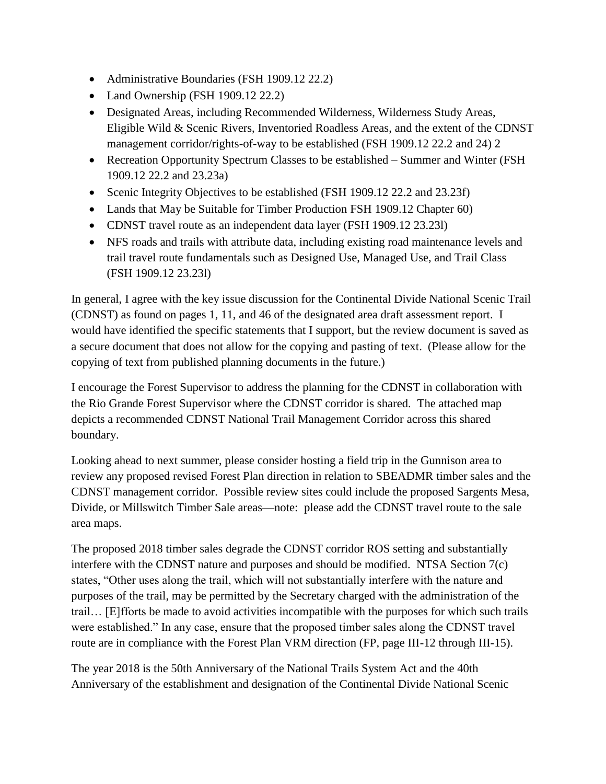- Administrative Boundaries (FSH 1909.12 22.2)
- Land Ownership (FSH 1909.12 22.2)
- Designated Areas, including Recommended Wilderness, Wilderness Study Areas, Eligible Wild & Scenic Rivers, Inventoried Roadless Areas, and the extent of the CDNST management corridor/rights-of-way to be established (FSH 1909.12 22.2 and 24) 2
- Recreation Opportunity Spectrum Classes to be established Summer and Winter (FSH) 1909.12 22.2 and 23.23a)
- Scenic Integrity Objectives to be established (FSH 1909.12 22.2 and 23.23f)
- Lands that May be Suitable for Timber Production FSH 1909.12 Chapter 60)
- CDNST travel route as an independent data layer (FSH 1909.12 23.231)
- NFS roads and trails with attribute data, including existing road maintenance levels and trail travel route fundamentals such as Designed Use, Managed Use, and Trail Class (FSH 1909.12 23.23l)

In general, I agree with the key issue discussion for the Continental Divide National Scenic Trail (CDNST) as found on pages 1, 11, and 46 of the designated area draft assessment report. I would have identified the specific statements that I support, but the review document is saved as a secure document that does not allow for the copying and pasting of text. (Please allow for the copying of text from published planning documents in the future.)

I encourage the Forest Supervisor to address the planning for the CDNST in collaboration with the Rio Grande Forest Supervisor where the CDNST corridor is shared. The attached map depicts a recommended CDNST National Trail Management Corridor across this shared boundary.

Looking ahead to next summer, please consider hosting a field trip in the Gunnison area to review any proposed revised Forest Plan direction in relation to SBEADMR timber sales and the CDNST management corridor. Possible review sites could include the proposed Sargents Mesa, Divide, or Millswitch Timber Sale areas—note: please add the CDNST travel route to the sale area maps.

The proposed 2018 timber sales degrade the CDNST corridor ROS setting and substantially interfere with the CDNST nature and purposes and should be modified. NTSA Section 7(c) states, "Other uses along the trail, which will not substantially interfere with the nature and purposes of the trail, may be permitted by the Secretary charged with the administration of the trail… [E]fforts be made to avoid activities incompatible with the purposes for which such trails were established." In any case, ensure that the proposed timber sales along the CDNST travel route are in compliance with the Forest Plan VRM direction (FP, page III-12 through III-15).

The year 2018 is the 50th Anniversary of the National Trails System Act and the 40th Anniversary of the establishment and designation of the Continental Divide National Scenic